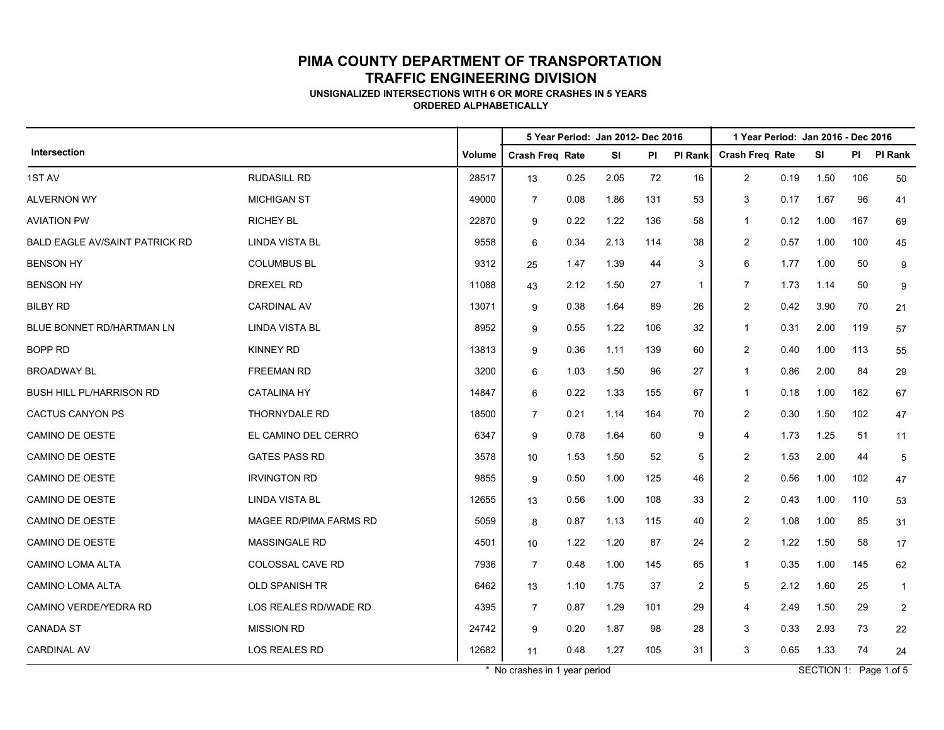**UNSIGNALIZED INTERSECTIONS WITH 6 OR MORE CRASHES IN 5 YEARS ORDERED ALPHABETICALLY**

|                                       |                        |        | 5 Year Period: Jan 2012- Dec 2016<br>1 Year Period: Jan 2016 - Dec 2016 |      |           |     |                |                        |      |      |     |              |  |
|---------------------------------------|------------------------|--------|-------------------------------------------------------------------------|------|-----------|-----|----------------|------------------------|------|------|-----|--------------|--|
| Intersection                          |                        | Volume | <b>Crash Freq Rate</b>                                                  |      | <b>SI</b> | PI  | PI Rank        | <b>Crash Freq Rate</b> |      | SI   | PI  | PI Rank      |  |
| 1ST AV                                | <b>RUDASILL RD</b>     | 28517  | 13                                                                      | 0.25 | 2.05      | 72  | 16             | $\overline{2}$         | 0.19 | 1.50 | 106 | 50           |  |
| <b>ALVERNON WY</b>                    | <b>MICHIGAN ST</b>     | 49000  | $\overline{7}$                                                          | 0.08 | 1.86      | 131 | 53             | 3                      | 0.17 | 1.67 | 96  | 41           |  |
| <b>AVIATION PW</b>                    | <b>RICHEY BL</b>       | 22870  | 9                                                                       | 0.22 | 1.22      | 136 | 58             | $\mathbf{1}$           | 0.12 | 1.00 | 167 | 69           |  |
| <b>BALD EAGLE AV/SAINT PATRICK RD</b> | <b>LINDA VISTA BL</b>  | 9558   | 6                                                                       | 0.34 | 2.13      | 114 | 38             | $\overline{2}$         | 0.57 | 1.00 | 100 | 45           |  |
| <b>BENSON HY</b>                      | <b>COLUMBUS BL</b>     | 9312   | 25                                                                      | 1.47 | 1.39      | 44  | 3              | 6                      | 1.77 | 1.00 | 50  | 9            |  |
| <b>BENSON HY</b>                      | <b>DREXEL RD</b>       | 11088  | 43                                                                      | 2.12 | 1.50      | 27  | $\mathbf{1}$   | $\overline{7}$         | 1.73 | 1.14 | 50  | 9            |  |
| <b>BILBY RD</b>                       | <b>CARDINAL AV</b>     | 13071  | 9                                                                       | 0.38 | 1.64      | 89  | 26             | $\overline{2}$         | 0.42 | 3.90 | 70  | 21           |  |
| BLUE BONNET RD/HARTMAN LN             | <b>LINDA VISTA BL</b>  | 8952   | 9                                                                       | 0.55 | 1.22      | 106 | 32             | $\mathbf{1}$           | 0.31 | 2.00 | 119 | 57           |  |
| <b>BOPP RD</b>                        | <b>KINNEY RD</b>       | 13813  | 9                                                                       | 0.36 | 1.11      | 139 | 60             | $\overline{2}$         | 0.40 | 1.00 | 113 | 55           |  |
| <b>BROADWAY BL</b>                    | FREEMAN RD             | 3200   | 6                                                                       | 1.03 | 1.50      | 96  | 27             | $\mathbf{1}$           | 0.86 | 2.00 | 84  | 29           |  |
| BUSH HILL PL/HARRISON RD              | <b>CATALINA HY</b>     | 14847  | 6                                                                       | 0.22 | 1.33      | 155 | 67             | $\mathbf{1}$           | 0.18 | 1.00 | 162 | 67           |  |
| <b>CACTUS CANYON PS</b>               | THORNYDALE RD          | 18500  | $\overline{7}$                                                          | 0.21 | 1.14      | 164 | 70             | $\overline{c}$         | 0.30 | 1.50 | 102 | 47           |  |
| <b>CAMINO DE OESTE</b>                | EL CAMINO DEL CERRO    | 6347   | 9                                                                       | 0.78 | 1.64      | 60  | 9              | 4                      | 1.73 | 1.25 | 51  | 11           |  |
| <b>CAMINO DE OESTE</b>                | <b>GATES PASS RD</b>   | 3578   | 10                                                                      | 1.53 | 1.50      | 52  | 5              | $\overline{2}$         | 1.53 | 2.00 | 44  | 5            |  |
| <b>CAMINO DE OESTE</b>                | <b>IRVINGTON RD</b>    | 9855   | 9                                                                       | 0.50 | 1.00      | 125 | 46             | $\overline{2}$         | 0.56 | 1.00 | 102 | 47           |  |
| <b>CAMINO DE OESTE</b>                | <b>LINDA VISTA BL</b>  | 12655  | 13                                                                      | 0.56 | 1.00      | 108 | 33             | $\overline{2}$         | 0.43 | 1.00 | 110 | 53           |  |
| <b>CAMINO DE OESTE</b>                | MAGEE RD/PIMA FARMS RD | 5059   | 8                                                                       | 0.87 | 1.13      | 115 | 40             | $\overline{2}$         | 1.08 | 1.00 | 85  | 31           |  |
| CAMINO DE OESTE                       | <b>MASSINGALE RD</b>   | 4501   | 10                                                                      | 1.22 | 1.20      | 87  | 24             | $\overline{c}$         | 1.22 | 1.50 | 58  | 17           |  |
| <b>CAMINO LOMA ALTA</b>               | COLOSSAL CAVE RD       | 7936   | $\overline{7}$                                                          | 0.48 | 1.00      | 145 | 65             | $\mathbf{1}$           | 0.35 | 1.00 | 145 | 62           |  |
| CAMINO LOMA ALTA                      | <b>OLD SPANISH TR</b>  | 6462   | 13                                                                      | 1.10 | 1.75      | 37  | $\overline{2}$ | 5                      | 2.12 | 1.60 | 25  | $\mathbf{1}$ |  |
| CAMINO VERDE/YEDRA RD                 | LOS REALES RD/WADE RD  | 4395   | $\overline{7}$                                                          | 0.87 | 1.29      | 101 | 29             | 4                      | 2.49 | 1.50 | 29  | 2            |  |
| <b>CANADA ST</b>                      | <b>MISSION RD</b>      | 24742  | 9                                                                       | 0.20 | 1.87      | 98  | 28             | 3                      | 0.33 | 2.93 | 73  | 22           |  |
| <b>CARDINAL AV</b>                    | LOS REALES RD          | 12682  | 11                                                                      | 0.48 | 1.27      | 105 | 31             | 3                      | 0.65 | 1.33 | 74  | 24           |  |

\* No crashes in 1 year period SECTION 1: Page 1 of 5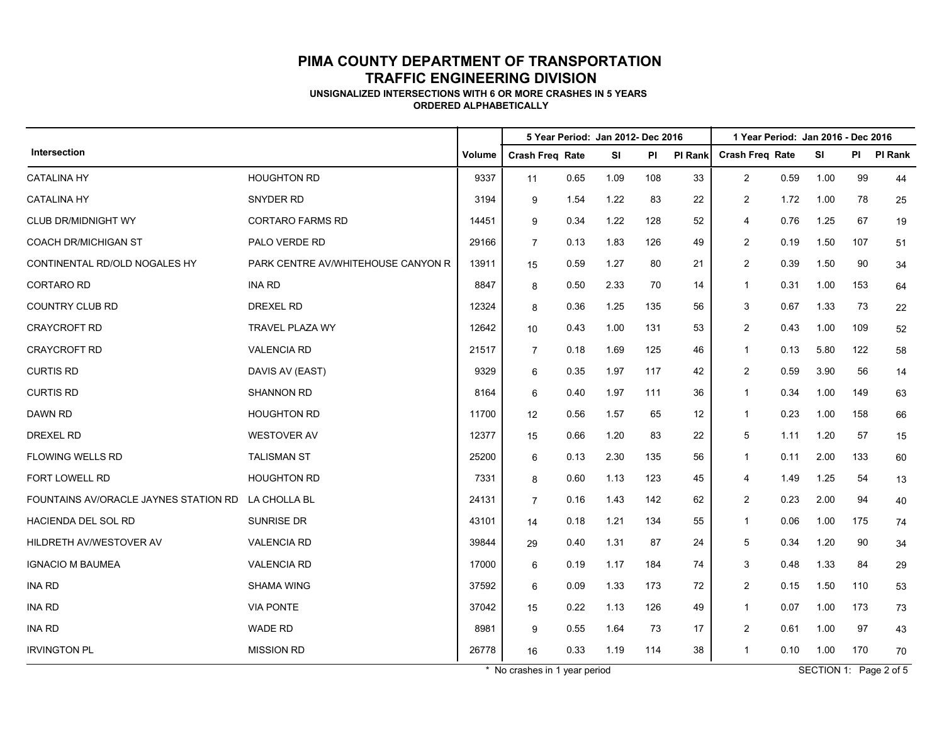**UNSIGNALIZED INTERSECTIONS WITH 6 OR MORE CRASHES IN 5 YEARS ORDERED ALPHABETICALLY**

|                                       |                                    |        |                        |      | 5 Year Period: Jan 2012- Dec 2016 |     |         | 1 Year Period: Jan 2016 - Dec 2016 |      |      |     |                |
|---------------------------------------|------------------------------------|--------|------------------------|------|-----------------------------------|-----|---------|------------------------------------|------|------|-----|----------------|
| Intersection                          |                                    | Volume | <b>Crash Freq Rate</b> |      | <b>SI</b>                         | PI  | PI Rank | <b>Crash Freq Rate</b>             |      | SI   | PI  | <b>PI Rank</b> |
| <b>CATALINA HY</b>                    | <b>HOUGHTON RD</b>                 | 9337   | 11                     | 0.65 | 1.09                              | 108 | 33      | $\overline{2}$                     | 0.59 | 1.00 | 99  | 44             |
| <b>CATALINA HY</b>                    | SNYDER RD                          | 3194   | 9                      | 1.54 | 1.22                              | 83  | 22      | $\overline{c}$                     | 1.72 | 1.00 | 78  | 25             |
| <b>CLUB DR/MIDNIGHT WY</b>            | <b>CORTARO FARMS RD</b>            | 14451  | 9                      | 0.34 | 1.22                              | 128 | 52      | 4                                  | 0.76 | 1.25 | 67  | 19             |
| <b>COACH DR/MICHIGAN ST</b>           | PALO VERDE RD                      | 29166  | $\overline{7}$         | 0.13 | 1.83                              | 126 | 49      | 2                                  | 0.19 | 1.50 | 107 | 51             |
| CONTINENTAL RD/OLD NOGALES HY         | PARK CENTRE AV/WHITEHOUSE CANYON R | 13911  | 15                     | 0.59 | 1.27                              | 80  | 21      | $\overline{2}$                     | 0.39 | 1.50 | 90  | 34             |
| <b>CORTARO RD</b>                     | <b>INA RD</b>                      | 8847   | 8                      | 0.50 | 2.33                              | 70  | 14      | 1                                  | 0.31 | 1.00 | 153 | 64             |
| <b>COUNTRY CLUB RD</b>                | <b>DREXEL RD</b>                   | 12324  | 8                      | 0.36 | 1.25                              | 135 | 56      | 3                                  | 0.67 | 1.33 | 73  | 22             |
| <b>CRAYCROFT RD</b>                   | TRAVEL PLAZA WY                    | 12642  | 10                     | 0.43 | 1.00                              | 131 | 53      | $\overline{2}$                     | 0.43 | 1.00 | 109 | 52             |
| <b>CRAYCROFT RD</b>                   | <b>VALENCIA RD</b>                 | 21517  | $\overline{7}$         | 0.18 | 1.69                              | 125 | 46      | 1                                  | 0.13 | 5.80 | 122 | 58             |
| <b>CURTIS RD</b>                      | DAVIS AV (EAST)                    | 9329   | 6                      | 0.35 | 1.97                              | 117 | 42      | $\overline{2}$                     | 0.59 | 3.90 | 56  | 14             |
| <b>CURTIS RD</b>                      | <b>SHANNON RD</b>                  | 8164   | 6                      | 0.40 | 1.97                              | 111 | 36      | $\mathbf{1}$                       | 0.34 | 1.00 | 149 | 63             |
| DAWN RD                               | <b>HOUGHTON RD</b>                 | 11700  | 12                     | 0.56 | 1.57                              | 65  | 12      | $\mathbf{1}$                       | 0.23 | 1.00 | 158 | 66             |
| <b>DREXEL RD</b>                      | <b>WESTOVER AV</b>                 | 12377  | 15                     | 0.66 | 1.20                              | 83  | 22      | 5                                  | 1.11 | 1.20 | 57  | 15             |
| <b>FLOWING WELLS RD</b>               | <b>TALISMAN ST</b>                 | 25200  | 6                      | 0.13 | 2.30                              | 135 | 56      | $\mathbf{1}$                       | 0.11 | 2.00 | 133 | 60             |
| FORT LOWELL RD                        | <b>HOUGHTON RD</b>                 | 7331   | 8                      | 0.60 | 1.13                              | 123 | 45      | 4                                  | 1.49 | 1.25 | 54  | 13             |
| FOUNTAINS AV/ORACLE JAYNES STATION RD | LA CHOLLA BL                       | 24131  | $\overline{7}$         | 0.16 | 1.43                              | 142 | 62      | $\overline{c}$                     | 0.23 | 2.00 | 94  | 40             |
| HACIENDA DEL SOL RD                   | <b>SUNRISE DR</b>                  | 43101  | 14                     | 0.18 | 1.21                              | 134 | 55      | $\mathbf{1}$                       | 0.06 | 1.00 | 175 | 74             |
| HILDRETH AV/WESTOVER AV               | <b>VALENCIA RD</b>                 | 39844  | 29                     | 0.40 | 1.31                              | 87  | 24      | 5                                  | 0.34 | 1.20 | 90  | 34             |
| <b>IGNACIO M BAUMEA</b>               | <b>VALENCIA RD</b>                 | 17000  | 6                      | 0.19 | 1.17                              | 184 | 74      | 3                                  | 0.48 | 1.33 | 84  | 29             |
| <b>INA RD</b>                         | <b>SHAMA WING</b>                  | 37592  | 6                      | 0.09 | 1.33                              | 173 | 72      | $\overline{2}$                     | 0.15 | 1.50 | 110 | 53             |
| <b>INA RD</b>                         | <b>VIA PONTE</b>                   | 37042  | 15                     | 0.22 | 1.13                              | 126 | 49      | $\mathbf{1}$                       | 0.07 | 1.00 | 173 | 73             |
| <b>INA RD</b>                         | <b>WADE RD</b>                     | 8981   | 9                      | 0.55 | 1.64                              | 73  | 17      | 2                                  | 0.61 | 1.00 | 97  | 43             |
| <b>IRVINGTON PL</b>                   | <b>MISSION RD</b>                  | 26778  | 16                     | 0.33 | 1.19                              | 114 | 38      | $\mathbf{1}$                       | 0.10 | 1.00 | 170 | 70             |

\* No crashes in 1 year period SECTION 1: Page 2 of 5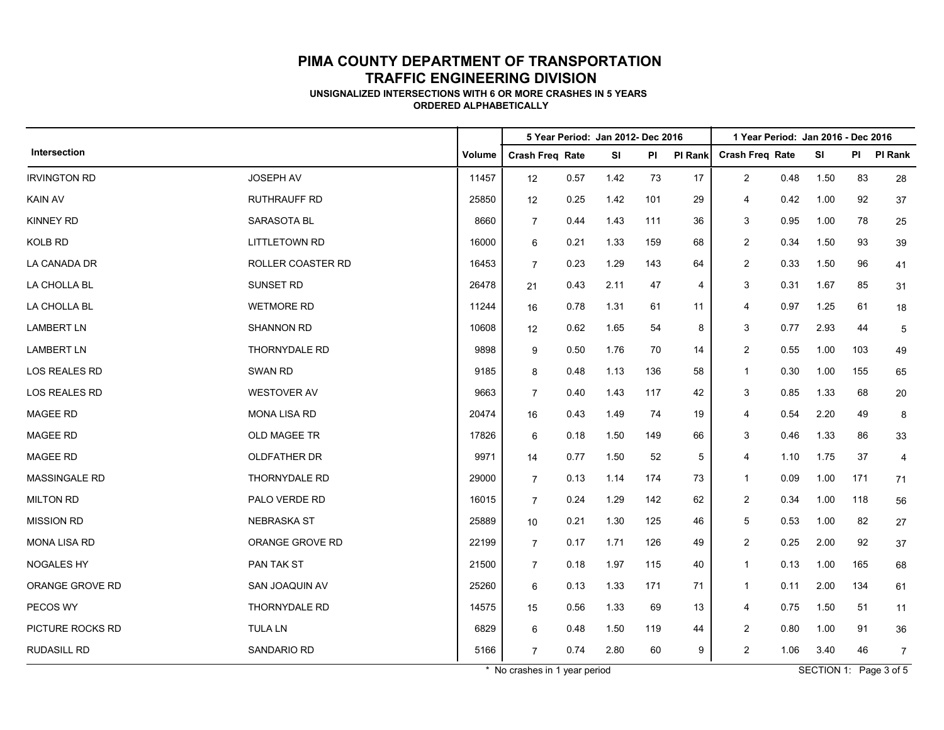**UNSIGNALIZED INTERSECTIONS WITH 6 OR MORE CRASHES IN 5 YEARS ORDERED ALPHABETICALLY**

|                      |                      |        | 5 Year Period: Jan 2012- Dec 2016 |      |           |     |         | 1 Year Period: Jan 2016 - Dec 2016 |      |      |     |                |  |
|----------------------|----------------------|--------|-----------------------------------|------|-----------|-----|---------|------------------------------------|------|------|-----|----------------|--|
| Intersection         |                      | Volume | <b>Crash Freq Rate</b>            |      | <b>SI</b> | PI  | PI Rank | <b>Crash Freq Rate</b>             |      | SI   | PI  | <b>PI Rank</b> |  |
| <b>IRVINGTON RD</b>  | JOSEPH AV            | 11457  | 12                                | 0.57 | 1.42      | 73  | 17      | $\overline{c}$                     | 0.48 | 1.50 | 83  | 28             |  |
| <b>KAIN AV</b>       | <b>RUTHRAUFF RD</b>  | 25850  | 12                                | 0.25 | 1.42      | 101 | 29      | 4                                  | 0.42 | 1.00 | 92  | 37             |  |
| <b>KINNEY RD</b>     | <b>SARASOTA BL</b>   | 8660   | $\overline{7}$                    | 0.44 | 1.43      | 111 | 36      | 3                                  | 0.95 | 1.00 | 78  | 25             |  |
| <b>KOLB RD</b>       | <b>LITTLETOWN RD</b> | 16000  | 6                                 | 0.21 | 1.33      | 159 | 68      | $\overline{c}$                     | 0.34 | 1.50 | 93  | 39             |  |
| LA CANADA DR         | ROLLER COASTER RD    | 16453  | $\overline{7}$                    | 0.23 | 1.29      | 143 | 64      | $\overline{\mathbf{c}}$            | 0.33 | 1.50 | 96  | 41             |  |
| LA CHOLLA BL         | SUNSET RD            | 26478  | 21                                | 0.43 | 2.11      | 47  | 4       | 3                                  | 0.31 | 1.67 | 85  | 31             |  |
| LA CHOLLA BL         | <b>WETMORE RD</b>    | 11244  | 16                                | 0.78 | 1.31      | 61  | 11      | 4                                  | 0.97 | 1.25 | 61  | 18             |  |
| <b>LAMBERT LN</b>    | SHANNON RD           | 10608  | 12                                | 0.62 | 1.65      | 54  | 8       | 3                                  | 0.77 | 2.93 | 44  | 5              |  |
| <b>LAMBERT LN</b>    | THORNYDALE RD        | 9898   | 9                                 | 0.50 | 1.76      | 70  | 14      | $\overline{2}$                     | 0.55 | 1.00 | 103 | 49             |  |
| LOS REALES RD        | <b>SWAN RD</b>       | 9185   | 8                                 | 0.48 | 1.13      | 136 | 58      | $\mathbf{1}$                       | 0.30 | 1.00 | 155 | 65             |  |
| LOS REALES RD        | <b>WESTOVER AV</b>   | 9663   | $\overline{7}$                    | 0.40 | 1.43      | 117 | 42      | 3                                  | 0.85 | 1.33 | 68  | 20             |  |
| <b>MAGEE RD</b>      | <b>MONA LISA RD</b>  | 20474  | 16                                | 0.43 | 1.49      | 74  | 19      | 4                                  | 0.54 | 2.20 | 49  | 8              |  |
| <b>MAGEE RD</b>      | <b>OLD MAGEE TR</b>  | 17826  | 6                                 | 0.18 | 1.50      | 149 | 66      | 3                                  | 0.46 | 1.33 | 86  | 33             |  |
| MAGEE RD             | <b>OLDFATHER DR</b>  | 9971   | 14                                | 0.77 | 1.50      | 52  | 5       | 4                                  | 1.10 | 1.75 | 37  | 4              |  |
| <b>MASSINGALE RD</b> | THORNYDALE RD        | 29000  | $\overline{7}$                    | 0.13 | 1.14      | 174 | 73      | $\mathbf{1}$                       | 0.09 | 1.00 | 171 | 71             |  |
| <b>MILTON RD</b>     | PALO VERDE RD        | 16015  | $\overline{7}$                    | 0.24 | 1.29      | 142 | 62      | $\overline{c}$                     | 0.34 | 1.00 | 118 | 56             |  |
| <b>MISSION RD</b>    | <b>NEBRASKA ST</b>   | 25889  | 10                                | 0.21 | 1.30      | 125 | 46      | 5                                  | 0.53 | 1.00 | 82  | 27             |  |
| <b>MONA LISA RD</b>  | ORANGE GROVE RD      | 22199  | $\overline{7}$                    | 0.17 | 1.71      | 126 | 49      | $\overline{2}$                     | 0.25 | 2.00 | 92  | 37             |  |
| <b>NOGALES HY</b>    | PAN TAK ST           | 21500  | $\overline{7}$                    | 0.18 | 1.97      | 115 | 40      | $\mathbf{1}$                       | 0.13 | 1.00 | 165 | 68             |  |
| ORANGE GROVE RD      | SAN JOAQUIN AV       | 25260  | 6                                 | 0.13 | 1.33      | 171 | 71      | $\mathbf{1}$                       | 0.11 | 2.00 | 134 | 61             |  |
| PECOS WY             | THORNYDALE RD        | 14575  | 15                                | 0.56 | 1.33      | 69  | 13      | 4                                  | 0.75 | 1.50 | 51  | 11             |  |
| PICTURE ROCKS RD     | <b>TULA LN</b>       | 6829   | 6                                 | 0.48 | 1.50      | 119 | 44      | $\overline{c}$                     | 0.80 | 1.00 | 91  | 36             |  |
| <b>RUDASILL RD</b>   | SANDARIO RD          | 5166   | $\overline{7}$                    | 0.74 | 2.80      | 60  | 9       | $\overline{c}$                     | 1.06 | 3.40 | 46  | $\overline{7}$ |  |

\* No crashes in 1 year period SECTION 1: Page 3 of 5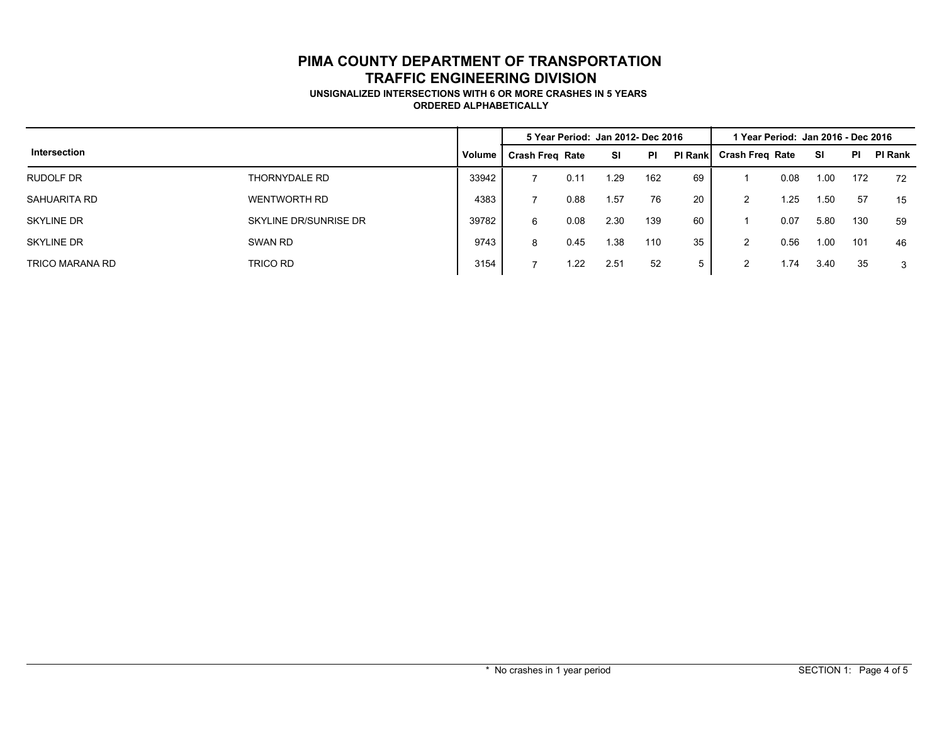#### **UNSIGNALIZED INTERSECTIONS WITH 6 OR MORE CRASHES IN 5 YEARS ORDERED ALPHABETICALLY**

|                   |                       |        | 5 Year Period: Jan 2012- Dec 2016 |      |      | l Year Period:  Jan 2016 - Dec 2016 |                 |                        |      |      |           |                |
|-------------------|-----------------------|--------|-----------------------------------|------|------|-------------------------------------|-----------------|------------------------|------|------|-----------|----------------|
| Intersection      |                       | Volume | <b>Crash Freg Rate</b>            |      | SI   | <b>PI</b>                           | <b>PI Rankl</b> | <b>Crash Freg Rate</b> |      | SI   | <b>PI</b> | <b>PI Rank</b> |
| RUDOLF DR         | THORNYDALE RD         | 33942  |                                   | 0.11 | .29  | 162                                 | 69              |                        | 0.08 | 1.00 | 172       | 72             |
| SAHUARITA RD      | <b>WENTWORTH RD</b>   | 4383   |                                   | 0.88 | .57  | 76                                  | -20             | $\overline{2}$         | 1.25 | 1.50 | 57        | 15             |
| <b>SKYLINE DR</b> | SKYLINE DR/SUNRISE DR | 39782  | 6                                 | 0.08 | 2.30 | 139                                 | 60              |                        | 0.07 | 5.80 | 130       | 59             |
| <b>SKYLINE DR</b> | SWAN RD               | 9743   | 8                                 | 0.45 | .38  | 110                                 | 35              | $\overline{2}$         | 0.56 | 1.00 | 101       | 46             |
| TRICO MARANA RD   | TRICO RD              | 3154   |                                   | 1.22 | 2.51 | 52                                  | 5               | 2                      | 1.74 | 3.40 | 35        | 3              |